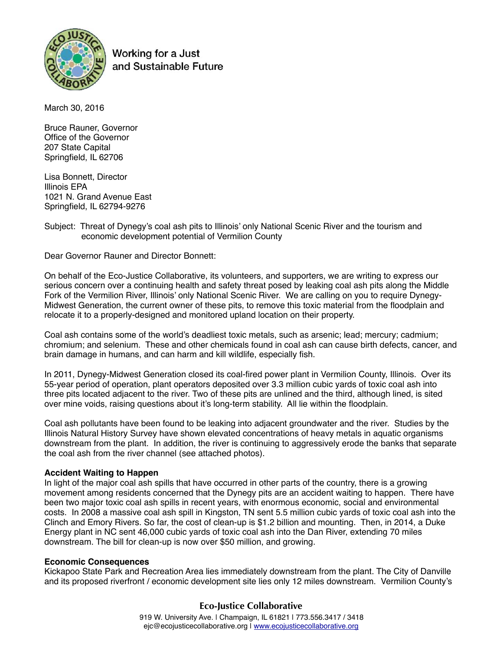

Working for a Just and Sustainable Future

March 30, 2016

Bruce Rauner, Governor Office of the Governor 207 State Capital Springfield, IL 62706

Lisa Bonnett, Director Illinois EPA 1021 N. Grand Avenue East Springfield, IL 62794-9276

## Subject: Threat of Dynegy's coal ash pits to Illinois' only National Scenic River and the tourism and economic development potential of Vermilion County

Dear Governor Rauner and Director Bonnett:

On behalf of the Eco-Justice Collaborative, its volunteers, and supporters, we are writing to express our serious concern over a continuing health and safety threat posed by leaking coal ash pits along the Middle Fork of the Vermilion River, Illinois' only National Scenic River. We are calling on you to require Dynegy-Midwest Generation, the current owner of these pits, to remove this toxic material from the floodplain and relocate it to a properly-designed and monitored upland location on their property.

Coal ash contains some of the world's deadliest toxic metals, such as arsenic; lead; mercury; cadmium; chromium; and selenium. These and other chemicals found in coal ash can cause birth defects, cancer, and brain damage in humans, and can harm and kill wildlife, especially fish.

In 2011, Dynegy-Midwest Generation closed its coal-fired power plant in Vermilion County, Illinois. Over its 55-year period of operation, plant operators deposited over 3.3 million cubic yards of toxic coal ash into three pits located adjacent to the river. Two of these pits are unlined and the third, although lined, is sited over mine voids, raising questions about it's long-term stability. All lie within the floodplain.

Coal ash pollutants have been found to be leaking into adjacent groundwater and the river. Studies by the Illinois Natural History Survey have shown elevated concentrations of heavy metals in aquatic organisms downstream from the plant. In addition, the river is continuing to aggressively erode the banks that separate the coal ash from the river channel (see attached photos).

## **Accident Waiting to Happen**

In light of the major coal ash spills that have occurred in other parts of the country, there is a growing movement among residents concerned that the Dynegy pits are an accident waiting to happen. There have been two major toxic coal ash spills in recent years, with enormous economic, social and environmental costs. In 2008 a massive coal ash spill in Kingston, TN sent 5.5 million cubic yards of toxic coal ash into the Clinch and Emory Rivers. So far, the cost of clean-up is \$1.2 billion and mounting. Then, in 2014, a Duke Energy plant in NC sent 46,000 cubic yards of toxic coal ash into the Dan River, extending 70 miles downstream. The bill for clean-up is now over \$50 million, and growing.

## **Economic Consequences**

Kickapoo State Park and Recreation Area lies immediately downstream from the plant. The City of Danville and its proposed riverfront / economic development site lies only 12 miles downstream. Vermilion County's

# **Eco-Justice Collaborative**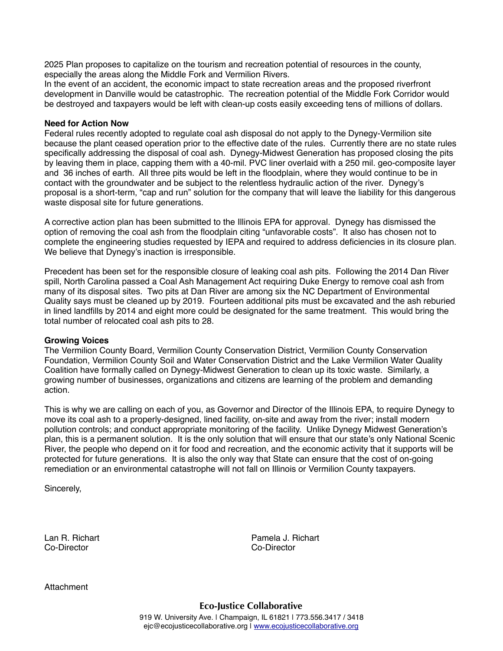2025 Plan proposes to capitalize on the tourism and recreation potential of resources in the county, especially the areas along the Middle Fork and Vermilion Rivers.

In the event of an accident, the economic impact to state recreation areas and the proposed riverfront development in Danville would be catastrophic. The recreation potential of the Middle Fork Corridor would be destroyed and taxpayers would be left with clean-up costs easily exceeding tens of millions of dollars.

#### **Need for Action Now**

Federal rules recently adopted to regulate coal ash disposal do not apply to the Dynegy-Vermilion site because the plant ceased operation prior to the effective date of the rules. Currently there are no state rules specifically addressing the disposal of coal ash. Dynegy-Midwest Generation has proposed closing the pits by leaving them in place, capping them with a 40-mil. PVC liner overlaid with a 250 mil. geo-composite layer and 36 inches of earth. All three pits would be left in the floodplain, where they would continue to be in contact with the groundwater and be subject to the relentless hydraulic action of the river. Dynegy's proposal is a short-term, "cap and run" solution for the company that will leave the liability for this dangerous waste disposal site for future generations.

A corrective action plan has been submitted to the Illinois EPA for approval. Dynegy has dismissed the option of removing the coal ash from the floodplain citing "unfavorable costs". It also has chosen not to complete the engineering studies requested by IEPA and required to address deficiencies in its closure plan. We believe that Dynegy's inaction is irresponsible.

Precedent has been set for the responsible closure of leaking coal ash pits. Following the 2014 Dan River spill, North Carolina passed a Coal Ash Management Act requiring Duke Energy to remove coal ash from many of its disposal sites. Two pits at Dan River are among six the NC Department of Environmental Quality says must be cleaned up by 2019. Fourteen additional pits must be excavated and the ash reburied in lined landfills by 2014 and eight more could be designated for the same treatment. This would bring the total number of relocated coal ash pits to 28.

## **Growing Voices**

The Vermilion County Board, Vermilion County Conservation District, Vermilion County Conservation Foundation, Vermilion County Soil and Water Conservation District and the Lake Vermilion Water Quality Coalition have formally called on Dynegy-Midwest Generation to clean up its toxic waste. Similarly, a growing number of businesses, organizations and citizens are learning of the problem and demanding action.

This is why we are calling on each of you, as Governor and Director of the Illinois EPA, to require Dynegy to move its coal ash to a properly-designed, lined facility, on-site and away from the river; install modern pollution controls; and conduct appropriate monitoring of the facility. Unlike Dynegy Midwest Generation's plan, this is a permanent solution. It is the only solution that will ensure that our state's only National Scenic River, the people who depend on it for food and recreation, and the economic activity that it supports will be protected for future generations. It is also the only way that State can ensure that the cost of on-going remediation or an environmental catastrophe will not fall on Illinois or Vermilion County taxpayers.

Sincerely,

Co-Director Co-Director

Attachment

Lan R. Richart **Pamela J. Richart**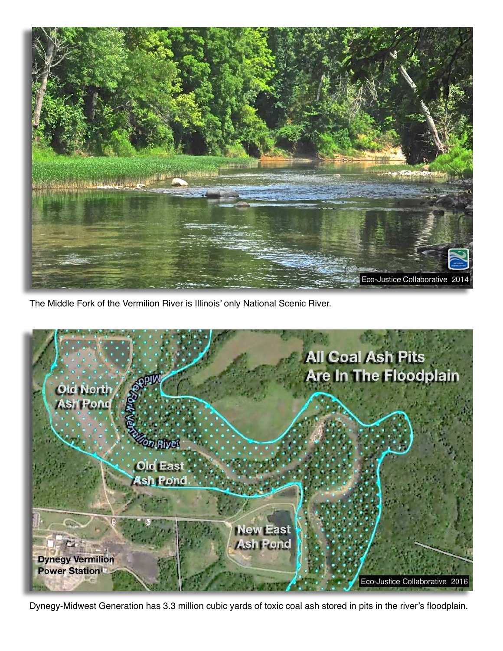

The Middle Fork of the Vermilion River is Illinois' only National Scenic River.



Dynegy-Midwest Generation has 3.3 million cubic yards of toxic coal ash stored in pits in the river's floodplain.